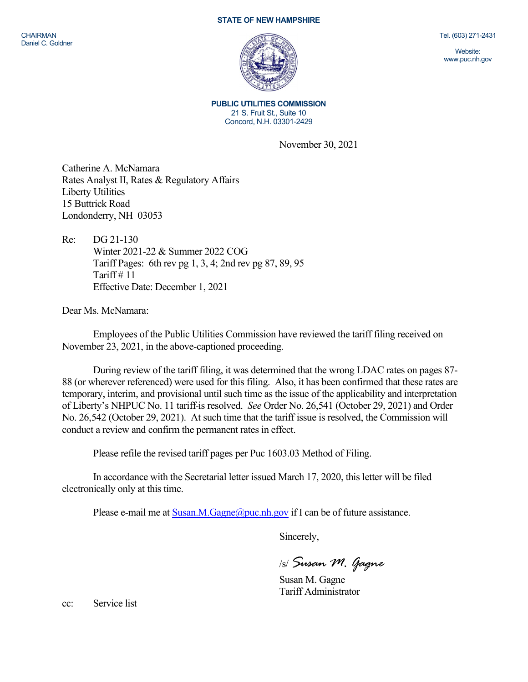## STATE OF NEW HAMPSHIRE

Tel. (603) 271-2431

Website: www.puc.nh.gov

PUBLIC UTILITIES COMMISSION 21 S. Fruit St., Suite 10 Concord, N.H. 03301-2429

November 30, 2021

Catherine A. McNamara Rates Analyst II, Rates & Regulatory Affairs Liberty Utilities 15 Buttrick Road Londonderry, NH 03053

Re: DG 21-130 Winter 2021-22 & Summer 2022 COG Tariff Pages: 6th rev pg 1, 3, 4; 2nd rev pg 87, 89, 95 Tariff  $# 11$ Effective Date: December 1, 2021

Dear Ms. McNamara:

Employees of the Public Utilities Commission have reviewed the tariff filing received on November 23, 2021, in the above-captioned proceeding.

During review of the tariff filing, it was determined that the wrong LDAC rates on pages 87- 88 (or wherever referenced) were used for this filing. Also, it has been confirmed that these rates are temporary, interim, and provisional until such time as the issue of the applicability and interpretation of Liberty's NHPUC No. 11 tariff is resolved. See Order No. 26,541 (October 29, 2021) and Order No. 26,542 (October 29, 2021). At such time that the tariff issue is resolved, the Commission will conduct a review and confirm the permanent rates in effect.

Please refile the revised tariff pages per Puc 1603.03 Method of Filing.

In accordance with the Secretarial letter issued March 17, 2020, this letter will be filed electronically only at this time.

Please e-mail me at  $Susan.M.Gagne@puc.nh.gov$  if I can be of future assistance.

Sincerely,

/s/ Susan M. Gagne

Susan M. Gagne Tariff Administrator

cc: Service list